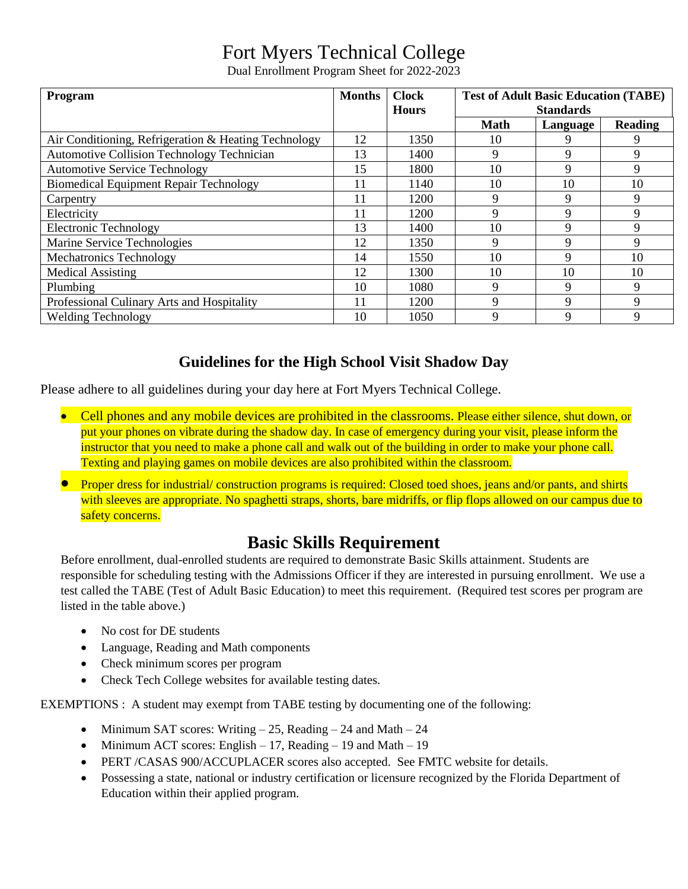## Fort Myers Technical College

Dual Enrollment Program Sheet for 2022-2023

| Program                                              | <b>Months</b> | <b>Clock</b> | <b>Test of Adult Basic Education (TABE)</b> |          |                |
|------------------------------------------------------|---------------|--------------|---------------------------------------------|----------|----------------|
|                                                      |               | <b>Hours</b> | <b>Standards</b>                            |          |                |
|                                                      |               |              | <b>Math</b>                                 | Language | <b>Reading</b> |
| Air Conditioning, Refrigeration & Heating Technology | 12            | 1350         | 10                                          | 9        | 9              |
| Automotive Collision Technology Technician           | 13            | 1400         | 9                                           | 9        | 9              |
| <b>Automotive Service Technology</b>                 | 15            | 1800         | 10                                          | 9        | 9              |
| <b>Biomedical Equipment Repair Technology</b>        | 11            | 1140         | 10                                          | 10       | 10             |
| Carpentry                                            |               | 1200         | 9                                           | 9        | 9              |
| Electricity                                          | 11            | 1200         | 9                                           | 9        | 9              |
| <b>Electronic Technology</b>                         | 13            | 1400         | 10                                          | 9        | 9              |
| Marine Service Technologies                          | 12            | 1350         | 9                                           | 9        | 9              |
| <b>Mechatronics Technology</b>                       | 14            | 1550         | 10                                          | 9        | 10             |
| <b>Medical Assisting</b>                             | 12            | 1300         | 10                                          | 10       | 10             |
| Plumbing                                             | 10            | 1080         | 9                                           | 9        | 9              |
| Professional Culinary Arts and Hospitality           |               | 1200         | 9                                           | 9        | 9              |
| <b>Welding Technology</b>                            | 10            | 1050         | 9                                           | 9        | 9              |

## **Guidelines for the High School Visit Shadow Day**

Please adhere to all guidelines during your day here at Fort Myers Technical College.

- Cell phones and any mobile devices are prohibited in the classrooms. Please either silence, shut down, or put your phones on vibrate during the shadow day. In case of emergency during your visit, please inform the instructor that you need to make a phone call and walk out of the building in order to make your phone call. Texting and playing games on mobile devices are also prohibited within the classroom.
- Proper dress for industrial/ construction programs is required: Closed toed shoes, jeans and/or pants, and shirts with sleeves are appropriate. No spaghetti straps, shorts, bare midriffs, or flip flops allowed on our campus due to safety concerns.

## **Basic Skills Requirement**

Before enrollment, dual-enrolled students are required to demonstrate Basic Skills attainment. Students are responsible for scheduling testing with the Admissions Officer if they are interested in pursuing enrollment. We use a test called the TABE (Test of Adult Basic Education) to meet this requirement. (Required test scores per program are listed in the table above.)

- No cost for DE students
- Language, Reading and Math components
- Check minimum scores per program
- Check Tech College websites for available testing dates.

EXEMPTIONS : A student may exempt from TABE testing by documenting one of the following:

- Minimum SAT scores: Writing  $-25$ , Reading  $-24$  and Math  $-24$
- Minimum ACT scores: English  $-17$ , Reading  $-19$  and Math  $-19$
- PERT /CASAS 900/ACCUPLACER scores also accepted. See FMTC website for details.
- Possessing a state, national or industry certification or licensure recognized by the Florida Department of Education within their applied program.